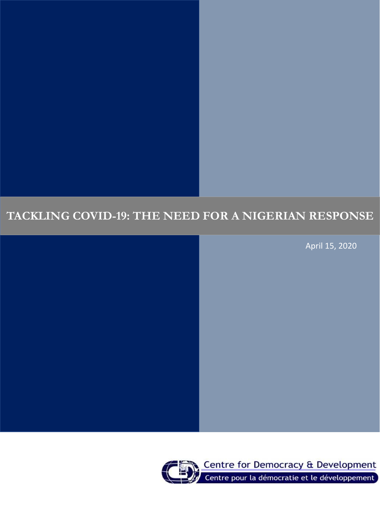# **TACKLING COVID-19: THE NEED FOR A NIGERIAN RESPONSE**

April 15, 2020

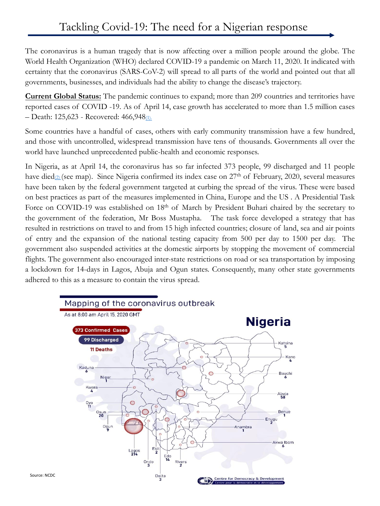The coronavirus is a human tragedy that is now affecting over a million people around the globe. The World Health Organization (WHO) declared COVID-19 a pandemic on March 11, 2020. It indicated with certainty that the coronavirus (SARS-CoV-2) will spread to all parts of the world and pointed out that all governments, businesses, and individuals had the ability to change the disease's trajectory.

**Current Global Status:** The pandemic continues to expand; more than 209 countries and territories have reported cases of COVID -19. As of April 14, case growth has accelerated to more than 1.5 million cases – Death: 125,623 - Recovered: 466,948[\(1\).](https://www.worldometers.info/coronavirus/)

Some countries have a handful of cases, others with early community transmission have a few hundred, and those with uncontrolled, widespread transmission have tens of thousands. Governments all over the world have launched unprecedented public-health and economic responses.

In Nigeria, as at April 14, the coronavirus has so far infected 373 people, 99 discharged and 11 people have died $\mathcal{Q}$  (see map). Since Nigeria confirmed its index case on 27<sup>th</sup> of February, 2020, several measures have been taken by the federal government targeted at curbing the spread of the virus. These were based on best practices as part of the measures implemented in China, Europe and the US . A Presidential Task Force on COVID-19 was established on 18<sup>th</sup> of March by President Buhari chaired by the secretary to the government of the federation, Mr Boss Mustapha. The task force developed a strategy that has resulted in restrictions on travel to and from 15 high infected countries; closure of land, sea and air points of entry and the expansion of the national testing capacity from 500 per day to 1500 per day. The government also suspended activities at the domestic airports by stopping the movement of commercial flights. The government also encouraged inter-state restrictions on road or sea transportation by imposing a lockdown for 14-days in Lagos, Abuja and Ogun states. Consequently, many other state governments adhered to this as a measure to contain the virus spread.

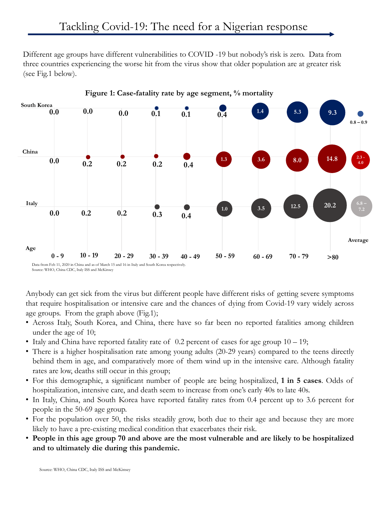Different age groups have different vulnerabilities to COVID -19 but nobody's risk is zero. Data from three countries experiencing the worse hit from the virus show that older population are at greater risk (see Fig.1 below).



Anybody can get sick from the virus but different people have different risks of getting severe symptoms that require hospitalisation or intensive care and the chances of dying from Covid-19 vary widely across age groups. From the graph above (Fig.1);

- Across Italy, South Korea, and China, there have so far been no reported fatalities among children under the age of 10;
- Italy and China have reported fatality rate of 0.2 percent of cases for age group  $10 19$ ;
- There is a higher hospitalisation rate among young adults (20-29 years) compared to the teens directly behind them in age, and comparatively more of them wind up in the intensive care. Although fatality rates are low, deaths still occur in this group;
- For this demographic, a significant number of people are being hospitalized, **1 in 5 cases**. Odds of hospitalization, intensive care, and death seem to increase from one's early 40s to late 40s.
- In Italy, China, and South Korea have reported fatality rates from 0.4 percent up to 3.6 percent for people in the 50-69 age group.
- For the population over 50, the risks steadily grow, both due to their age and because they are more likely to have a pre-existing medical condition that exacerbates their risk.
- **People in this age group 70 and above are the most vulnerable and are likely to be hospitalized and to ultimately die during this pandemic.**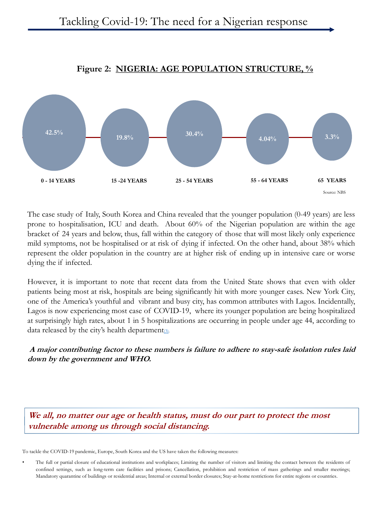

## **Figure 2: NIGERIA: AGE POPULATION STRUCTURE, %**

The case study of Italy, South Korea and China revealed that the younger population (0-49 years) are less prone to hospitalisation, ICU and death. About 60% of the Nigerian population are within the age bracket of 24 years and below, thus, fall within the category of those that will most likely only experience mild symptoms, not be hospitalised or at risk of dying if infected. On the other hand, about 38% which represent the older population in the country are at higher risk of ending up in intensive care or worse dying the if infected.

However, it is important to note that recent data from the United State shows that even with older patients being most at risk, hospitals are being significantly hit with more younger cases. New York City, one of the America's youthful and vibrant and busy city, has common attributes with Lagos. Incidentally, Lagos is now experiencing most case of COVID-19, where its younger population are being hospitalized at surprisingly high rates, about 1 in 5 hospitalizations are occurring in people under age 44, according to data released by the city's health department $\omega$ .

**A major contributing factor to these numbers is failure to adhere to stay-safe isolation rules laid down by the government and WHO.**

**We all, no matter our age or health status, must do our part to protect the most vulnerable among us through social distancing.**

To tackle the COVID-19 pandemic, Europe, South Korea and the US have taken the following measures:

The full or partial closure of educational institutions and workplaces; Limiting the number of visitors and limiting the contact between the residents of confined settings, such as long-term care facilities and prisons; Cancellation, prohibition and restriction of mass gatherings and smaller meetings; Mandatory quarantine of buildings or residential areas; Internal or external border closures; Stay-at-home restrictions for entire regions or countries.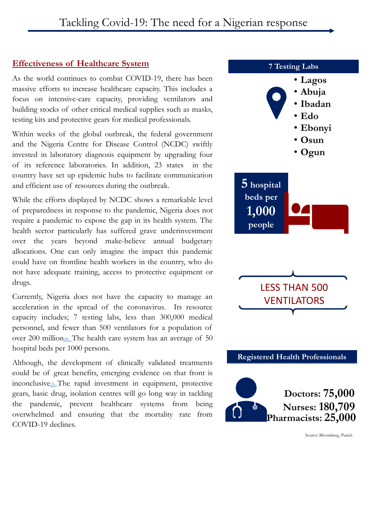## **Effectiveness of Healthcare System**

As the world continues to combat COVID-19, there has been massive efforts to increase healthcare capacity. This includes a focus on intensive-care capacity, providing ventilators and building stocks of other critical medical supplies such as masks, testing kits and protective gears for medical professionals.

Within weeks of the global outbreak, the federal government and the Nigeria Centre for Disease Control (NCDC) swiftly invested in laboratory diagnosis equipment by upgrading four of its reference laboratories. In addition, 23 states in the country have set up epidemic hubs to facilitate communication and efficient use of resources during the outbreak.

While the efforts displayed by NCDC shows a remarkable level of preparedness in response to the pandemic, Nigeria does not require a pandemic to expose the gap in its health system. The health sector particularly has suffered grave underinvestment over the years beyond make-believe annual budgetary allocations. One can only imagine the impact this pandemic could have on frontline health workers in the country, who do not have adequate training, access to protective equipment or drugs.

Currently, Nigeria does not have the capacity to manage an acceleration in the spread of the coronavirus. Its resource capacity includes; 7 testing labs, less than 300,000 medical personnel, and fewer than 500 ventilators for a population of over 200 million<sub>(4)</sub>. The health care system has an average of 50 hospital beds per 1000 persons.

Although, the development of clinically validated treatments could be of great benefits, emerging evidence on that front is inconclusive[\(5\)](https://www.mckinsey.com/business-functions/risk/our-insights/covid-19-implications-for-business) The rapid investment in equipment, protective gears, basic drug, isolation centres will go long way in tackling the pandemic, prevent healthcare systems from being overwhelmed and ensuring that the mortality rate from COVID-19 declines.

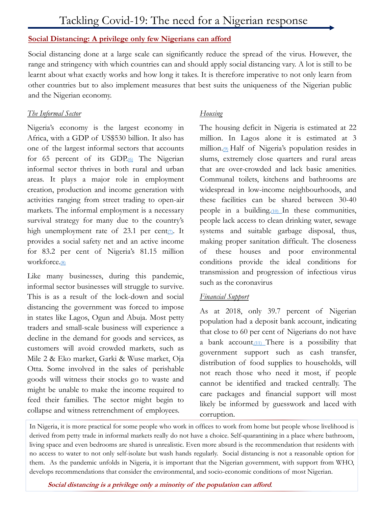#### **Social Distancing: A privilege only few Nigerians can afford**

Social distancing done at a large scale can significantly reduce the spread of the virus. However, the range and stringency with which countries can and should apply social distancing vary. A lot is still to be learnt about what exactly works and how long it takes. It is therefore imperative to not only learn from other countries but to also implement measures that best suits the uniqueness of the Nigerian public and the Nigerian economy.

#### *The Informal Sector*

Nigeria's economy is the largest economy in Africa, with a GDP of US\$530 billion. It also has one of the largest informal sectors that accounts for 65 percent of its  $GDP_{(0)}$  The Nigerian informal sector thrives in both rural and urban areas. It plays a major role in employment creation, production and income generation with activities ranging from street trading to open-air markets. The informal employment is a necessary survival strategy for many due to the country's high unemployment rate of 23.1 per cent $\sigma$ . It provides a social safety net and an active income for 83.2 per cent of Nigeria's 81.15 million workforce.[\(8\)](Businessday (2018). Imperative of informal sector for mortgage industry growth. Businessday Newspapers, 3 June 2018.)

Like many businesses, during this pandemic, informal sector businesses will struggle to survive. This is as a result of the lock-down and social distancing the government was forced to impose in states like Lagos, Ogun and Abuja. Most petty traders and small-scale business will experience a decline in the demand for goods and services, as customers will avoid crowded markets, such as Mile 2 & Eko market, Garki & Wuse market, Oja Otta. Some involved in the sales of perishable goods will witness their stocks go to waste and might be unable to make the income required to feed their families. The sector might begin to collapse and witness retrenchment of employees.

#### *Housing*

The housing deficit in Nigeria is estimated at 22 million. In Lagos alone it is estimated at 3 million.<sup>(2)</sup> Half of Nigeria's population resides in slums, extremely close quarters and rural areas that are over-crowded and lack basic amenities. Communal toilets, kitchens and bathrooms are widespread in low-income neighbourhoods, and these facilities can be shared between 30-40 people in a building.[\(10\)](http://www.housingfinanceafrica.org/countries/Nigeria) In these communities, people lack access to clean drinking water, sewage systems and suitable garbage disposal, thus, making proper sanitation difficult. The closeness of these houses and poor environmental conditions provide the ideal conditions for transmission and progression of infectious virus such as the coronavirus

#### *Financial Support*

As at 2018, only 39.7 percent of Nigerian population had a deposit bank account, indicating that close to 60 per cent of Nigerians do not have a bank account.<sup>(11)</sup> There is a possibility that government support such as cash transfer, distribution of food supplies to households, will not reach those who need it most, if people cannot be identified and tracked centrally. The care packages and financial support will most likely be informed by guesswork and laced with corruption.

In Nigeria, it is more practical for some people who work in offices to work from home but people whose livelihood is derived from petty trade in informal markets really do not have a choice. Self-quarantining in a place where bathroom, living space and even bedrooms are shared is unrealistic. Even more absurd is the recommendation that residents with no access to water to not only self-isolate but wash hands regularly. Social distancing is not a reasonable option for them. As the pandemic unfolds in Nigeria, it is important that the Nigerian government, with support from WHO, develops recommendations that consider the environmental, and socio-economic conditions of most Nigerian.

**Social distancing is <sup>a</sup> privilege only <sup>a</sup> minority of the population can afford**.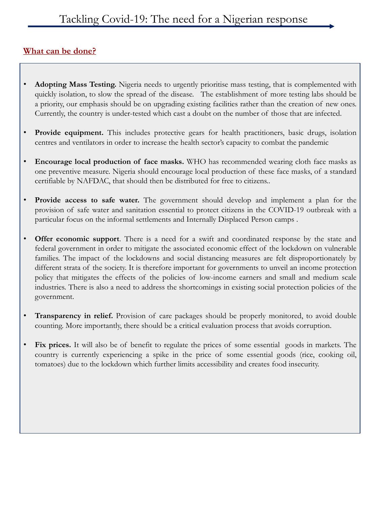# **What can be done?**

- **Adopting Mass Testing.** Nigeria needs to urgently prioritise mass testing, that is complemented with quickly isolation, to slow the spread of the disease. The establishment of more testing labs should be a priority, our emphasis should be on upgrading existing facilities rather than the creation of new ones. Currently, the country is under-tested which cast a doubt on the number of those that are infected.
- **Provide equipment.** This includes protective gears for health practitioners, basic drugs, isolation centres and ventilators in order to increase the health sector's capacity to combat the pandemic
- **Encourage local production of face masks.** WHO has recommended wearing cloth face masks as one preventive measure. Nigeria should encourage local production of these face masks, of a standard certifiable by NAFDAC, that should then be distributed for free to citizens..
- **Provide access to safe water.** The government should develop and implement a plan for the provision of safe water and sanitation essential to protect citizens in the COVID-19 outbreak with a particular focus on the informal settlements and Internally Displaced Person camps .
- **Offer economic support**. There is a need for a swift and coordinated response by the state and federal government in order to mitigate the associated economic effect of the lockdown on vulnerable families. The impact of the lockdowns and social distancing measures are felt disproportionately by different strata of the society. It is therefore important for governments to unveil an income protection policy that mitigates the effects of the policies of low-income earners and small and medium scale industries. There is also a need to address the shortcomings in existing social protection policies of the government.
- **Transparency in relief.** Provision of care packages should be properly monitored, to avoid double counting. More importantly, there should be a critical evaluation process that avoids corruption.
- **Fix prices.** It will also be of benefit to regulate the prices of some essential goods in markets. The country is currently experiencing a spike in the price of some essential goods (rice, cooking oil, tomatoes) due to the lockdown which further limits accessibility and creates food insecurity.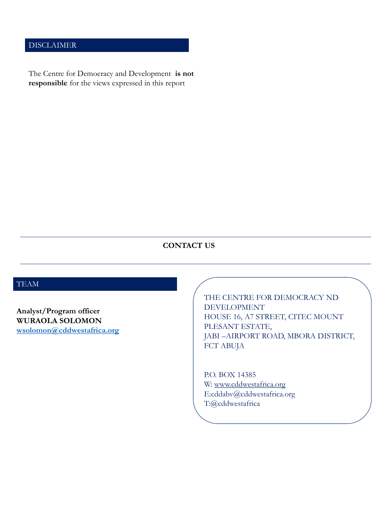## DISCLAIMER

The Centre for Democracy and Development **is not responsible** for the views expressed in this report

### **CONTACT US**

# TEAM

**Analyst/Program officer WURAOLA SOLOMON [wsolomon@cddwestafrica.org](mailto:wsolomon@cddwestafrica.org)**

THE CENTRE FOR DEMOCRACY ND DEVELOPMENT HOUSE 16, A7 STREET, CITEC MOUNT PLESANT ESTATE, JABI –AIRPORT ROAD, MBORA DISTRICT, FCT ABUJA

P.O. BOX 14385 W: [www.cddwestafrica.org](http://www.cddwestafrica.org/) E:cddabv@cddwestafrica.org T:@cddwestafrica